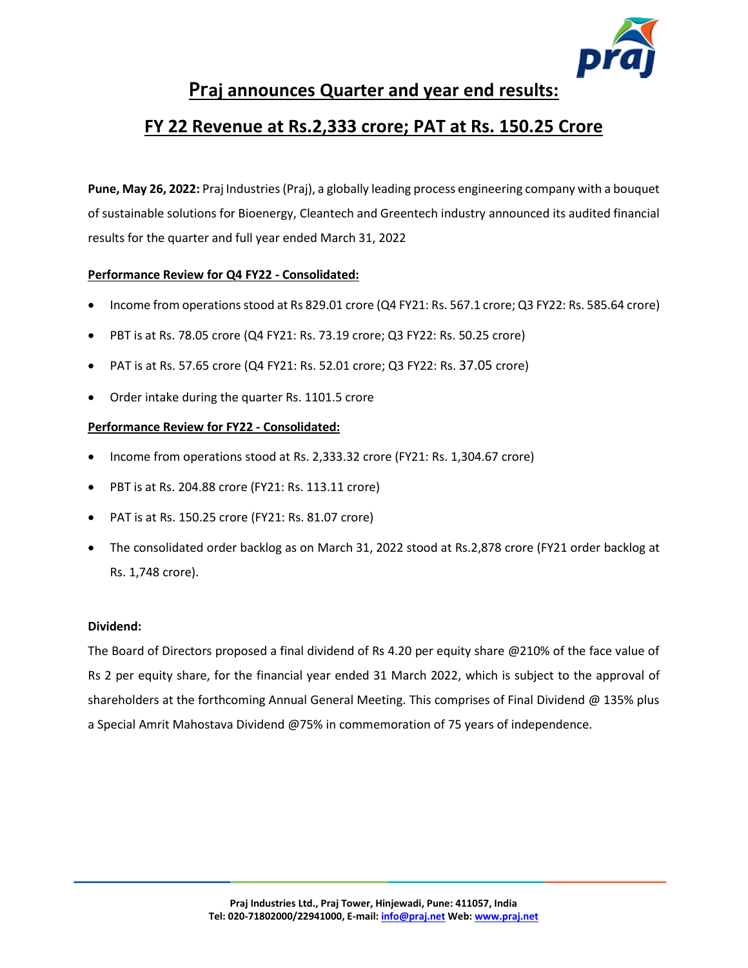

# **Praj announces Quarter and year end results:**

# **FY 22 Revenue at Rs.2,333 crore; PAT at Rs. 150.25 Crore**

**Pune, May 26, 2022:** Praj Industries (Praj), a globally leading process engineering company with a bouquet of sustainable solutions for Bioenergy, Cleantech and Greentech industry announced its audited financial results for the quarter and full year ended March 31, 2022

### **Performance Review for Q4 FY22 - Consolidated:**

- Income from operations stood at Rs 829.01 crore (Q4 FY21: Rs. 567.1 crore; Q3 FY22: Rs. 585.64 crore)
- PBT is at Rs. 78.05 crore (Q4 FY21: Rs. 73.19 crore; Q3 FY22: Rs. 50.25 crore)
- PAT is at Rs. 57.65 crore (Q4 FY21: Rs. 52.01 crore; Q3 FY22: Rs. 37.05 crore)
- Order intake during the quarter Rs. 1101.5 crore

#### **Performance Review for FY22 - Consolidated:**

- Income from operations stood at Rs. 2,333.32 crore (FY21: Rs. 1,304.67 crore)
- PBT is at Rs. 204.88 crore (FY21: Rs. 113.11 crore)
- PAT is at Rs. 150.25 crore (FY21: Rs. 81.07 crore)
- The consolidated order backlog as on March 31, 2022 stood at Rs.2,878 crore (FY21 order backlog at Rs. 1,748 crore).

#### **Dividend:**

The Board of Directors proposed a final dividend of Rs 4.20 per equity share @210% of the face value of Rs 2 per equity share, for the financial year ended 31 March 2022, which is subject to the approval of shareholders at the forthcoming Annual General Meeting. This comprises of Final Dividend @ 135% plus a Special Amrit Mahostava Dividend @75% in commemoration of 75 years of independence.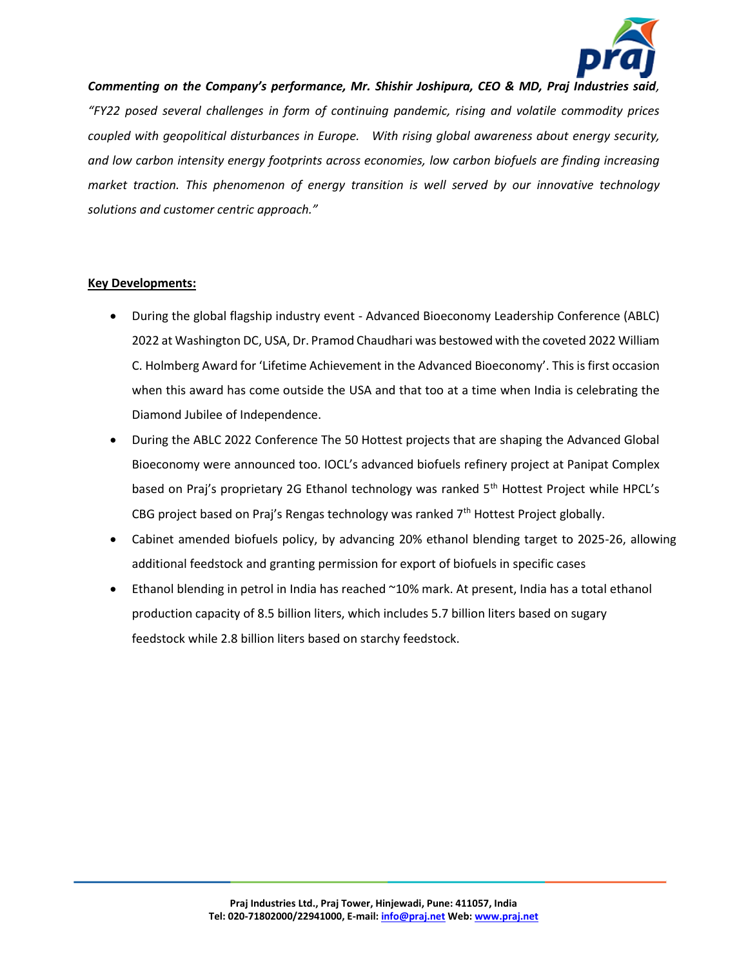

*Commenting on the Company's performance, Mr. Shishir Joshipura, CEO & MD, Praj Industries said, "FY22 posed several challenges in form of continuing pandemic, rising and volatile commodity prices coupled with geopolitical disturbances in Europe. With rising global awareness about energy security, and low carbon intensity energy footprints across economies, low carbon biofuels are finding increasing market traction. This phenomenon of energy transition is well served by our innovative technology solutions and customer centric approach."* 

#### **Key Developments:**

- During the global flagship industry event Advanced Bioeconomy Leadership Conference (ABLC) 2022 at Washington DC, USA, Dr. Pramod Chaudhari was bestowed with the coveted 2022 William C. Holmberg Award for 'Lifetime Achievement in the Advanced Bioeconomy'. This is first occasion when this award has come outside the USA and that too at a time when India is celebrating the Diamond Jubilee of Independence.
- During the ABLC 2022 Conference The 50 Hottest projects that are shaping the Advanced Global Bioeconomy were announced too. IOCL's advanced biofuels refinery project at Panipat Complex based on Praj's proprietary 2G Ethanol technology was ranked 5<sup>th</sup> Hottest Project while HPCL's CBG project based on Praj's Rengas technology was ranked  $7<sup>th</sup>$  Hottest Project globally.
- Cabinet amended biofuels policy, by advancing 20% ethanol blending target to 2025-26, allowing additional feedstock and granting permission for export of biofuels in specific cases
- Ethanol blending in petrol in India has reached ~10% mark. At present, India has a total ethanol production capacity of 8.5 billion liters, which includes 5.7 billion liters based on sugary feedstock while 2.8 billion liters based on starchy feedstock.